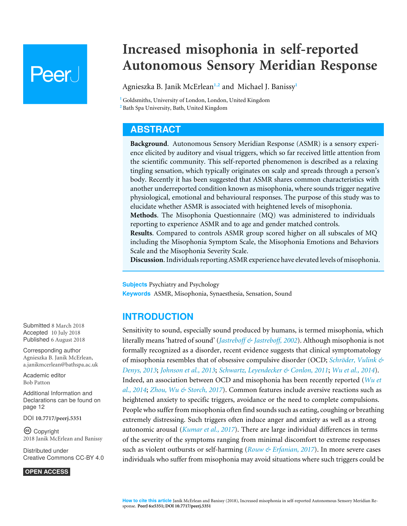# **Peer**

# **Increased misophonia in self-reported Autonomous Sensory Meridian Response**

<span id="page-0-3"></span><span id="page-0-2"></span>Agnieszka B. Janik McErlean**[1](#page-0-0)**,**[2](#page-0-1)** and Michael J. Banissy**[1](#page-0-0)**

<span id="page-0-1"></span><span id="page-0-0"></span>**<sup>1</sup>** Goldsmiths, University of London, London, United Kingdom **<sup>2</sup>** Bath Spa University, Bath, United Kingdom

# **ABSTRACT**

**Background**. Autonomous Sensory Meridian Response (ASMR) is a sensory experience elicited by auditory and visual triggers, which so far received little attention from the scientific community. This self-reported phenomenon is described as a relaxing tingling sensation, which typically originates on scalp and spreads through a person's body. Recently it has been suggested that ASMR shares common characteristics with another underreported condition known as misophonia, where sounds trigger negative physiological, emotional and behavioural responses. The purpose of this study was to elucidate whether ASMR is associated with heightened levels of misophonia. **Methods**. The Misophonia Questionnaire (MQ) was administered to individuals reporting to experience ASMR and to age and gender matched controls. **Results**. Compared to controls ASMR group scored higher on all subscales of MQ including the Misophonia Symptom Scale, the Misophonia Emotions and Behaviors Scale and the Misophonia Severity Scale.

**Discussion**. Individuals reporting ASMR experience have elevated levels of misophonia.

**Subjects** Psychiatry and Psychology **Keywords** ASMR, Misophonia, Synaesthesia, Sensation, Sound

# **INTRODUCTION**

Sensitivity to sound, especially sound produced by humans, is termed misophonia, which literally means 'hatred of sound' (*[Jastreboff & Jastreboff, 2002](#page-12-0)*). Although misophonia is not formally recognized as a disorder, recent evidence suggests that clinical symptomatology of misophonia resembles that of obsessive compulsive disorder (OCD; *[Schröder, Vulink &](#page-13-0) [Denys, 2013](#page-13-0)*; *[Johnson et al., 2013](#page-12-1)*; *[Schwartz, Leyendecker & Conlon, 2011](#page-13-1)*; *[Wu et al., 2014](#page-13-2)*). Indeed, an association between OCD and misophonia has been recently reported (*[Wu et](#page-13-2) [al., 2014](#page-13-2)*; *[Zhou, Wu & Storch, 2017](#page-13-3)*). Common features include aversive reactions such as heightened anxiety to specific triggers, avoidance or the need to complete compulsions. People who suffer from misophonia often find sounds such as eating, coughing or breathing extremely distressing. Such triggers often induce anger and anxiety as well as a strong autonomic arousal (*[Kumar et al., 2017](#page-12-2)*). There are large individual differences in terms of the severity of the symptoms ranging from minimal discomfort to extreme responses such as violent outbursts or self-harming (*[Rouw & Erfanian, 2017](#page-13-4)*). In more severe cases individuals who suffer from misophonia may avoid situations where such triggers could be

Submitted 8 March 2018 Accepted 10 July 2018 Published 6 August 2018

Corresponding author Agnieszka B. Janik McErlean, [a.janikmcerlean@bathspa.ac.uk](mailto:a.janikmcerlean@bathspa.ac.uk)

[Academic editor](https://peerj.com/academic-boards/editors/) [Bob Patton](https://peerj.com/academic-boards/editors/)

[Additional Information and](#page-11-0) [Declarations can be found on](#page-11-0) [page 12](#page-11-0)

DOI **[10.7717/peerj.5351](http://dx.doi.org/10.7717/peerj.5351)**

Copyright 2018 Janik McErlean and Banissy

[Distributed under](http://creativecommons.org/licenses/by/4.0/) [Creative Commons CC-BY 4.0](http://creativecommons.org/licenses/by/4.0/)

**OPEN ACCESS**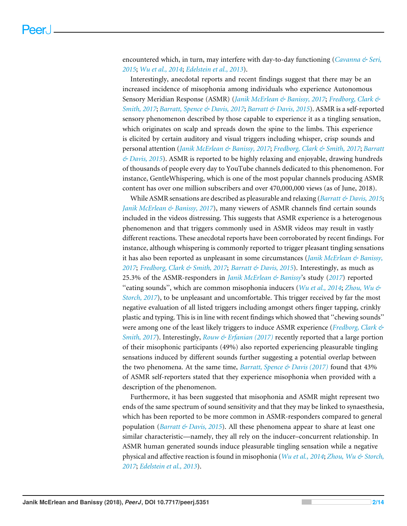encountered which, in turn, may interfere with day-to-day functioning (*[Cavanna & Seri,](#page-12-3) [2015](#page-12-3)*; *[Wu et al., 2014](#page-13-2)*; *[Edelstein et al., 2013](#page-12-4)*).

Interestingly, anecdotal reports and recent findings suggest that there may be an increased incidence of misophonia among individuals who experience Autonomous Sensory Meridian Response (ASMR) (*[Janik McErlean & Banissy, 2017](#page-12-5)*; *[Fredborg, Clark &](#page-12-6) [Smith, 2017](#page-12-6)*; *[Barratt, Spence & Davis, 2017](#page-11-1)*; *[Barratt & Davis, 2015](#page-11-2)*). ASMR is a self-reported sensory phenomenon described by those capable to experience it as a tingling sensation, which originates on scalp and spreads down the spine to the limbs. This experience is elicited by certain auditory and visual triggers including whisper, crisp sounds and personal attention (*[Janik McErlean & Banissy, 2017](#page-12-5)*; *[Fredborg, Clark & Smith, 2017](#page-12-6)*; *[Barratt](#page-11-2) [& Davis, 2015](#page-11-2)*). ASMR is reported to be highly relaxing and enjoyable, drawing hundreds of thousands of people every day to YouTube channels dedicated to this phenomenon. For instance, GentleWhispering, which is one of the most popular channels producing ASMR content has over one million subscribers and over 470,000,000 views (as of June, 2018).

While ASMR sensations are described as pleasurable and relaxing (*[Barratt & Davis, 2015](#page-11-2)*; *[Janik McErlean & Banissy, 2017](#page-12-5)*), many viewers of ASMR channels find certain sounds included in the videos distressing. This suggests that ASMR experience is a heterogenous phenomenon and that triggers commonly used in ASMR videos may result in vastly different reactions. These anecdotal reports have been corroborated by recent findings. For instance, although whispering is commonly reported to trigger pleasant tingling sensations it has also been reported as unpleasant in some circumstances (*[Janik McErlean & Banissy,](#page-12-5) [2017](#page-12-5)*; *[Fredborg, Clark & Smith, 2017](#page-12-6)*; *[Barratt & Davis, 2015](#page-11-2)*). Interestingly, as much as 25.3% of the ASMR-responders in *[Janik McErlean & Banissy](#page-12-5)*'s study (*[2017](#page-12-5)*) reported ''eating sounds'', which are common misophonia inducers (*[Wu et al., 2014](#page-13-2)*; *[Zhou, Wu &](#page-13-3) [Storch, 2017](#page-13-3)*), to be unpleasant and uncomfortable. This trigger received by far the most negative evaluation of all listed triggers including amongst others finger tapping, crinkly plastic and typing. This is in line with recent findings which showed that ''chewing sounds'' were among one of the least likely triggers to induce ASMR experience (*[Fredborg, Clark &](#page-12-6) [Smith, 2017](#page-12-6)*). Interestingly, *[Rouw & Erfanian \(2017\)](#page-13-4)* recently reported that a large portion of their misophonic participants (49%) also reported experiencing pleasurable tingling sensations induced by different sounds further suggesting a potential overlap between the two phenomena. At the same time, *[Barratt, Spence & Davis \(2017\)](#page-11-1)* found that 43% of ASMR self-reporters stated that they experience misophonia when provided with a description of the phenomenon.

Furthermore, it has been suggested that misophonia and ASMR might represent two ends of the same spectrum of sound sensitivity and that they may be linked to synaesthesia, which has been reported to be more common in ASMR-responders compared to general population (*[Barratt & Davis, 2015](#page-11-2)*). All these phenomena appear to share at least one similar characteristic—namely, they all rely on the inducer–concurrent relationship. In ASMR human generated sounds induce pleasurable tingling sensation while a negative physical and affective reaction is found in misophonia (*[Wu et al., 2014](#page-13-2)*; *[Zhou, Wu & Storch,](#page-13-3) [2017](#page-13-3)*; *[Edelstein et al., 2013](#page-12-4)*).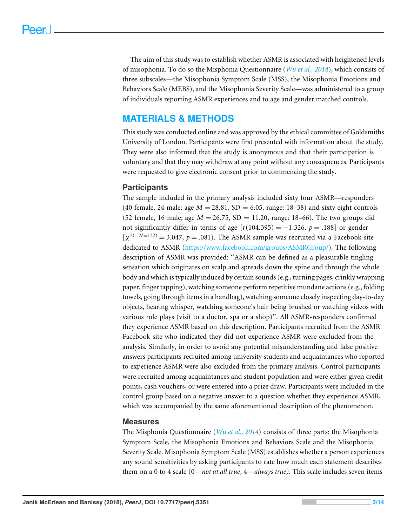The aim of this study was to establish whether ASMR is associated with heightened levels of misophonia. To do so the Misphonia Questionnaire (*[Wu et al., 2014](#page-13-2)*), which consists of three subscales—the Misophonia Symptom Scale (MSS), the Misophonia Emotions and Behaviors Scale (MEBS), and the Misophonia Severity Scale—was administered to a group of individuals reporting ASMR experiences and to age and gender matched controls.

# **MATERIALS & METHODS**

This study was conducted online and was approved by the ethical committee of Goldsmiths University of London. Participants were first presented with information about the study. They were also informed that the study is anonymous and that their participation is voluntary and that they may withdraw at any point without any consequences. Participants were requested to give electronic consent prior to commencing the study.

## **Participants**

The sample included in the primary analysis included sixty four ASMR—responders (40 female, 24 male; age  $M = 28.81$ , SD = 6.05, range: 18–38) and sixty eight controls (52 female, 16 male; age  $M = 26.75$ , SD = 11.20, range: 18–66). The two groups did not significantly differ in terms of age  $[t(104.395) = -1.326, p = .188]$  or gender  $[\chi^{2(1,N=132)}] = 3.047$ ,  $p = .081$ ). The ASMR sample was recruited via a Facebook site dedicated to ASMR [\(https://www.facebook.com/groups/ASMRGroup/\)](https://www.facebook.com/groups/ASMRGroup/). The following description of ASMR was provided: ''ASMR can be defined as a pleasurable tingling sensation which originates on scalp and spreads down the spine and through the whole body and which is typically induced by certain sounds (e.g., turning pages, crinkly wrapping paper, finger tapping), watching someone perform repetitive mundane actions (e.g., folding towels, going through items in a handbag), watching someone closely inspecting day-to-day objects, hearing whisper, watching someone's hair being brushed or watching videos with various role plays (visit to a doctor, spa or a shop)''. All ASMR-responders confirmed they experience ASMR based on this description. Participants recruited from the ASMR Facebook site who indicated they did not experience ASMR were excluded from the analysis. Similarly, in order to avoid any potential misunderstanding and false positive answers participants recruited among university students and acquaintances who reported to experience ASMR were also excluded from the primary analysis. Control participants were recruited among acquaintances and student population and were either given credit points, cash vouchers, or were entered into a prize draw. Participants were included in the control group based on a negative answer to a question whether they experience ASMR, which was accompanied by the same aforementioned description of the phenomenon.

## **Measures**

The Misphonia Questionnaire (*[Wu et al., 2014](#page-13-2)*) consists of three parts: the Misophonia Symptom Scale, the Misophonia Emotions and Behaviors Scale and the Misophonia Severity Scale. Misophonia Symptom Scale (MSS) establishes whether a person experiences any sound sensitivities by asking participants to rate how much each statement describes them on a 0 to 4 scale (0—*not at all true*, 4—*always true)*. This scale includes seven items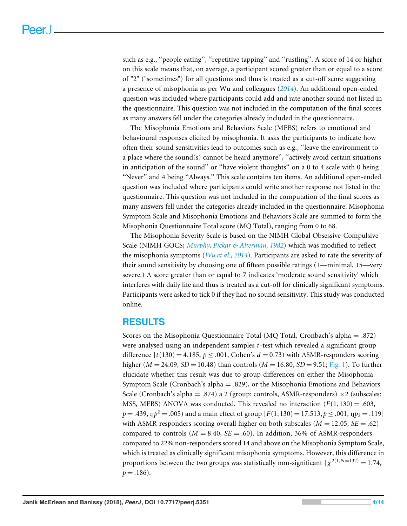such as e.g., "people eating", "repetitive tapping" and "rustling". A score of 14 or higher on this scale means that, on average, a participant scored greater than or equal to a score of "2" ("sometimes") for all questions and thus is treated as a cut-off score suggesting a presence of misophonia as per Wu and colleagues (*[2014](#page-13-2)*). An additional open-ended question was included where participants could add and rate another sound not listed in the questionnaire. This question was not included in the computation of the final scores as many answers fell under the categories already included in the questionnaire.

The Misophonia Emotions and Behaviors Scale (MEBS) refers to emotional and behavioural responses elicited by misophonia. It asks the participants to indicate how often their sound sensitivities lead to outcomes such as e.g., ''leave the environment to a place where the sound(s) cannot be heard anymore'', ''actively avoid certain situations in anticipation of the sound'' or ''have violent thoughts'' on a 0 to 4 scale with 0 being ''Never'' and 4 being ''Always.'' This scale contains ten items. An additional open-ended question was included where participants could write another response not listed in the questionnaire. This question was not included in the computation of the final scores as many answers fell under the categories already included in the questionnaire. Misophonia Symptom Scale and Misophonia Emotions and Behaviors Scale are summed to form the Misophonia Questionnaire Total score (MQ Total), ranging from 0 to 68.

The Misophonia Severity Scale is based on the NIMH Global Obsessive-Compulsive Scale (NIMH GOCS; *[Murphy, Pickar & Alterman, 1982](#page-12-7)*) which was modified to reflect the misophonia symptoms (*[Wu et al., 2014](#page-13-2)*). Participants are asked to rate the severity of their sound sensitivity by choosing one of fifteen possible ratings (1—minimal, 15—very severe.) A score greater than or equal to 7 indicates 'moderate sound sensitivity' which interferes with daily life and thus is treated as a cut-off for clinically significant symptoms. Participants were asked to tick 0 if they had no sound sensitivity. This study was conducted online.

# **RESULTS**

Scores on the Misophonia Questionnaire Total (MQ Total, Cronbach's alpha = .872) were analysed using an independent samples *t*-test which revealed a significant group difference  $[t(130) = 4.185, p \le 0.001, \text{ Cohen's } d = 0.73)$  with ASMR-responders scoring higher ( $M = 24.09$ ,  $SD = 10.48$ ) than controls ( $M = 16.80$ ,  $SD = 9.51$ ; [Fig. 1\)](#page-4-0). To further elucidate whether this result was due to group differences on either the Misophonia Symptom Scale (Cronbach's alpha = .829), or the Misophonia Emotions and Behaviors Scale (Cronbach's alpha = .874) a 2 (group: controls, ASMR-responders)  $\times$  2 (subscales: MSS, MEBS) ANOVA was conducted. This revealed no interaction  $(F(1,130) = .603$ ,  $p = .439, \text{ n}p^2 = .005$ ) and a main effect of group  $[F(1,130) = 17.513, p \le .001, \text{ n}p_2 = .119]$ with ASMR-responders scoring overall higher on both subscales ( $M = 12.05$ ,  $SE = .62$ ) compared to controls ( $M = 8.40$ ,  $SE = .60$ ). In addition, 36% of ASMR-responders compared to 22% non-responders scored 14 and above on the Misophonia Symptom Scale, which is treated as clinically significant misophonia symptoms. However, this difference in proportions between the two groups was statistically non-significant  $\chi^{2(1,N=132)} = 1.74$ ,  $p = .186$ ).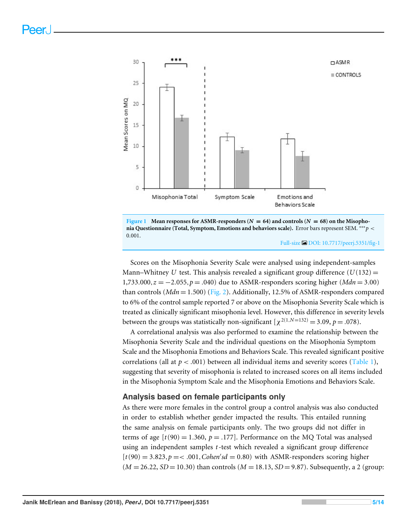<span id="page-4-0"></span>



#### Full-size [DOI: 10.7717/peerj.5351/fig-1](https://doi.org/10.7717/peerj.5351/fig-1)

Scores on the Misophonia Severity Scale were analysed using independent-samples Mann–Whitney *U* test. This analysis revealed a significant group difference  $(U(132)$  = 1,733.000, $z = -2.055$ ,  $p = .040$ ) due to ASMR-responders scoring higher (*Mdn* = 3.00) than controls ( $Mdn = 1.500$ ) [\(Fig. 2\)](#page-5-0). Additionally, 12.5% of ASMR-responders compared to 6% of the control sample reported 7 or above on the Misophonia Severity Scale which is treated as clinically significant misophonia level. However, this difference in severity levels between the groups was statistically non-significant  $[\chi^{2(1,N=132)} = 3.09, p = .078)$ .

A correlational analysis was also performed to examine the relationship between the Misophonia Severity Scale and the individual questions on the Misophonia Symptom Scale and the Misophonia Emotions and Behaviors Scale. This revealed significant positive correlations (all at  $p < .001$ ) between all individual items and severity scores [\(Table 1\)](#page-6-0), suggesting that severity of misophonia is related to increased scores on all items included in the Misophonia Symptom Scale and the Misophonia Emotions and Behaviors Scale.

#### **Analysis based on female participants only**

As there were more females in the control group a control analysis was also conducted in order to establish whether gender impacted the results. This entailed running the same analysis on female participants only. The two groups did not differ in terms of age  $[t(90) = 1.360, p = .177]$ . Performance on the MQ Total was analysed using an independent samples *t*-test which revealed a significant group difference  $[t(90) = 3.823, p = < .001, Cohen'sd = 0.80)$  with ASMR-responders scoring higher  $(M = 26.22, SD = 10.30)$  than controls  $(M = 18.13, SD = 9.87)$ . Subsequently, a 2 (group: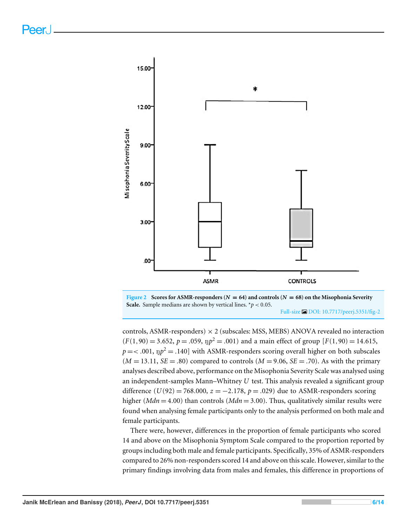<span id="page-5-0"></span>

**Figure 2** Scores for ASMR-responders ( $N = 64$ ) and controls ( $N = 68$ ) on the Misophonia Severity **Scale.** Sample medians are shown by vertical lines.  $*p < 0.05$ . Full-size [DOI: 10.7717/peerj.5351/fig-2](https://doi.org/10.7717/peerj.5351/fig-2)

controls, ASMR-responders)  $\times$  2 (subscales: MSS, MEBS) ANOVA revealed no interaction  $(F(1,90) = 3.652, p = .059, \text{ up}^2 = .001)$  and a main effect of group  $[F(1,90) = 14.615,$  $p = <.001$ ,  $\text{np}^2 = .140$ ] with ASMR-responders scoring overall higher on both subscales  $(M = 13.11, SE = .80)$  compared to controls  $(M = 9.06, SE = .70)$ . As with the primary analyses described above, performance on the Misophonia Severity Scale was analysed using an independent-samples Mann–Whitney *U* test. This analysis revealed a significant group difference (*U*(92) = 768.000,  $z = −2.178$ ,  $p = .029$ ) due to ASMR-responders scoring higher ( $Mdn = 4.00$ ) than controls ( $Mdn = 3.00$ ). Thus, qualitatively similar results were found when analysing female participants only to the analysis performed on both male and female participants.

There were, however, differences in the proportion of female participants who scored 14 and above on the Misophonia Symptom Scale compared to the proportion reported by groups including both male and female participants. Specifically, 35% of ASMR-responders compared to 26% non-responders scored 14 and above on this scale. However, similar to the primary findings involving data from males and females, this difference in proportions of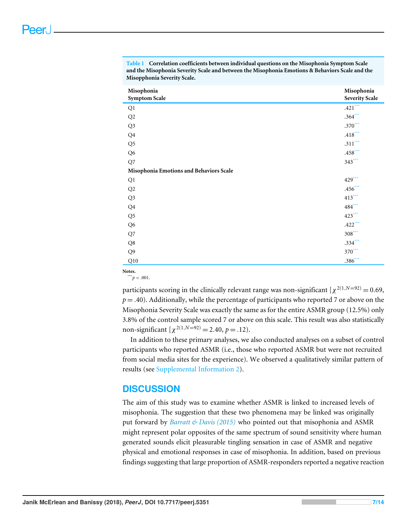| Misophonia<br><b>Symptom Scale</b>      | Misophonia<br><b>Severity Scale</b> |
|-----------------------------------------|-------------------------------------|
| Q1                                      | $.421***$                           |
| Q2                                      | $.364***$                           |
| Q3                                      | $.370***$                           |
| Q <sub>4</sub>                          | $.418***$                           |
| Q <sub>5</sub>                          | $.311***$                           |
| Q <sub>6</sub>                          | $.458***$                           |
| Q7                                      | $343***$                            |
| Misophonia Emotions and Behaviors Scale |                                     |
| Q1                                      | $429***$                            |
| $\mathrm{Q}2$                           | $.456***$                           |
| Q <sub>3</sub>                          | $413***$                            |
| Q <sub>4</sub>                          | 484***                              |
| Q <sub>5</sub>                          | $423***$                            |
| Q <sub>6</sub>                          | $.422***$                           |
| Q7                                      | $308***$                            |
| Q8                                      | $.334***$                           |
| Q <sub>9</sub>                          | $370***$                            |
| Q10                                     | $.386***$                           |

<span id="page-6-0"></span>**Table 1 Correlation coefficients between individual questions on the Misophonia Symptom Scale and the Misophonia Severity Scale and between the Misophonia Emotions & Behaviors Scale and the Misopphonia Severity Scale.**

<span id="page-6-1"></span>**Notes.**  $p^*$  *p* < .001.

participants scoring in the clinically relevant range was non-significant  $[\chi^{2(1,N=92)}]=0.69$ , *p* = .40). Additionally, while the percentage of participants who reported 7 or above on the Misophonia Severity Scale was exactly the same as for the entire ASMR group (12.5%) only 3.8% of the control sample scored 7 or above on this scale. This result was also statistically non-significant  $[\chi^{2(1,N=92)}] = 2.40, p = .12$ .

In addition to these primary analyses, we also conducted analyses on a subset of control participants who reported ASMR (i.e., those who reported ASMR but were not recruited from social media sites for the experience). We observed a qualitatively similar pattern of results (see [Supplemental Information 2\)](http://dx.doi.org/10.7717/peerj.5351#supp-2).

# **DISCUSSION**

The aim of this study was to examine whether ASMR is linked to increased levels of misophonia. The suggestion that these two phenomena may be linked was originally put forward by *[Barratt & Davis \(2015\)](#page-11-2)* who pointed out that misophonia and ASMR might represent polar opposites of the same spectrum of sound sensitivity where human generated sounds elicit pleasurable tingling sensation in case of ASMR and negative physical and emotional responses in case of misophonia. In addition, based on previous findings suggesting that large proportion of ASMR-responders reported a negative reaction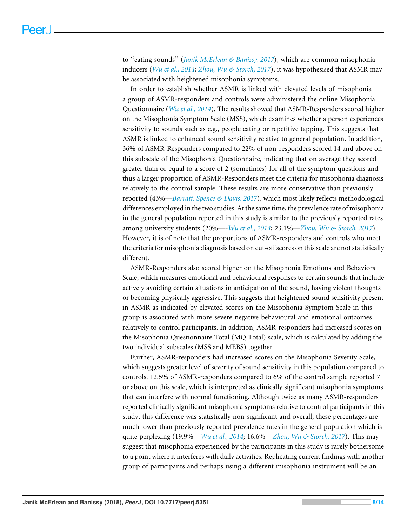to ''eating sounds'' (*[Janik McErlean & Banissy, 2017](#page-12-5)*), which are common misophonia inducers (*[Wu et al., 2014](#page-13-2)*; *[Zhou, Wu & Storch, 2017](#page-13-3)*), it was hypothesised that ASMR may be associated with heightened misophonia symptoms.

In order to establish whether ASMR is linked with elevated levels of misophonia a group of ASMR-responders and controls were administered the online Misophonia Questionnaire (*[Wu et al., 2014](#page-13-2)*). The results showed that ASMR-Responders scored higher on the Misophonia Symptom Scale (MSS), which examines whether a person experiences sensitivity to sounds such as e.g., people eating or repetitive tapping. This suggests that ASMR is linked to enhanced sound sensitivity relative to general population. In addition, 36% of ASMR-Responders compared to 22% of non-responders scored 14 and above on this subscale of the Misophonia Questionnaire, indicating that on average they scored greater than or equal to a score of 2 (sometimes) for all of the symptom questions and thus a larger proportion of ASMR-Responders meet the criteria for misophonia diagnosis relatively to the control sample. These results are more conservative than previously reported (43%—*[Barratt, Spence & Davis, 2017](#page-11-1)*), which most likely reflects methodological differences employed in the two studies. At the same time, the prevalence rate of misophonia in the general population reported in this study is similar to the previously reported rates among university students (20%—-*[Wu et al., 2014](#page-13-2)*; 23.1%—*[Zhou, Wu & Storch, 2017](#page-13-3)*). However, it is of note that the proportions of ASMR-responders and controls who meet the criteria for misophonia diagnosis based on cut-off scores on this scale are not statistically different.

ASMR-Responders also scored higher on the Misophonia Emotions and Behaviors Scale, which measures emotional and behavioural responses to certain sounds that include actively avoiding certain situations in anticipation of the sound, having violent thoughts or becoming physically aggressive. This suggests that heightened sound sensitivity present in ASMR as indicated by elevated scores on the Misophonia Symptom Scale in this group is associated with more severe negative behavioural and emotional outcomes relatively to control participants. In addition, ASMR-responders had increased scores on the Misophonia Questionnaire Total (MQ Total) scale, which is calculated by adding the two individual subscales (MSS and MEBS) together.

Further, ASMR-responders had increased scores on the Misophonia Severity Scale, which suggests greater level of severity of sound sensitivity in this population compared to controls. 12.5% of ASMR-responders compared to 6% of the control sample reported 7 or above on this scale, which is interpreted as clinically significant misophonia symptoms that can interfere with normal functioning. Although twice as many ASMR-responders reported clinically significant misophonia symptoms relative to control participants in this study, this difference was statistically non-significant and overall, these percentages are much lower than previously reported prevalence rates in the general population which is quite perplexing (19.9%—*[Wu et al., 2014](#page-13-2)*; 16.6%—*[Zhou, Wu & Storch, 2017](#page-13-3)*). This may suggest that misophonia experienced by the participants in this study is rarely bothersome to a point where it interferes with daily activities. Replicating current findings with another group of participants and perhaps using a different misophonia instrument will be an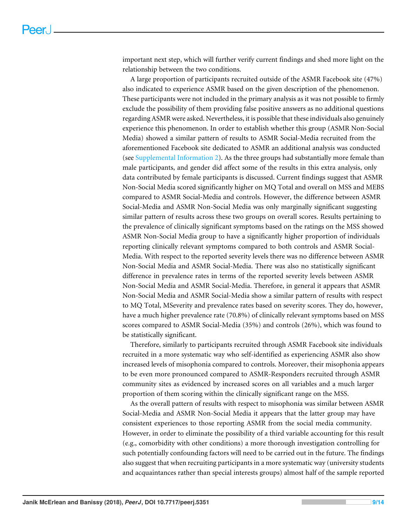important next step, which will further verify current findings and shed more light on the relationship between the two conditions.

A large proportion of participants recruited outside of the ASMR Facebook site (47%) also indicated to experience ASMR based on the given description of the phenomenon. These participants were not included in the primary analysis as it was not possible to firmly exclude the possibility of them providing false positive answers as no additional questions regarding ASMR were asked. Nevertheless, it is possible that these individuals also genuinely experience this phenomenon. In order to establish whether this group (ASMR Non-Social Media) showed a similar pattern of results to ASMR Social-Media recruited from the aforementioned Facebook site dedicated to ASMR an additional analysis was conducted (see [Supplemental Information 2\)](http://dx.doi.org/10.7717/peerj.5351#supp-2). As the three groups had substantially more female than male participants, and gender did affect some of the results in this extra analysis, only data contributed by female participants is discussed. Current findings suggest that ASMR Non-Social Media scored significantly higher on MQ Total and overall on MSS and MEBS compared to ASMR Social-Media and controls. However, the difference between ASMR Social-Media and ASMR Non-Social Media was only marginally significant suggesting similar pattern of results across these two groups on overall scores. Results pertaining to the prevalence of clinically significant symptoms based on the ratings on the MSS showed ASMR Non-Social Media group to have a significantly higher proportion of individuals reporting clinically relevant symptoms compared to both controls and ASMR Social-Media. With respect to the reported severity levels there was no difference between ASMR Non-Social Media and ASMR Social-Media. There was also no statistically significant difference in prevalence rates in terms of the reported severity levels between ASMR Non-Social Media and ASMR Social-Media. Therefore, in general it appears that ASMR Non-Social Media and ASMR Social-Media show a similar pattern of results with respect to MQ Total, MSeverity and prevalence rates based on severity scores. They do, however, have a much higher prevalence rate (70.8%) of clinically relevant symptoms based on MSS scores compared to ASMR Social-Media (35%) and controls (26%), which was found to be statistically significant.

Therefore, similarly to participants recruited through ASMR Facebook site individuals recruited in a more systematic way who self-identified as experiencing ASMR also show increased levels of misophonia compared to controls. Moreover, their misophonia appears to be even more pronounced compared to ASMR-Responders recruited through ASMR community sites as evidenced by increased scores on all variables and a much larger proportion of them scoring within the clinically significant range on the MSS.

As the overall pattern of results with respect to misophonia was similar between ASMR Social-Media and ASMR Non-Social Media it appears that the latter group may have consistent experiences to those reporting ASMR from the social media community. However, in order to eliminate the possibility of a third variable accounting for this result (e.g., comorbidity with other conditions) a more thorough investigation controlling for such potentially confounding factors will need to be carried out in the future. The findings also suggest that when recruiting participants in a more systematic way (university students and acquaintances rather than special interests groups) almost half of the sample reported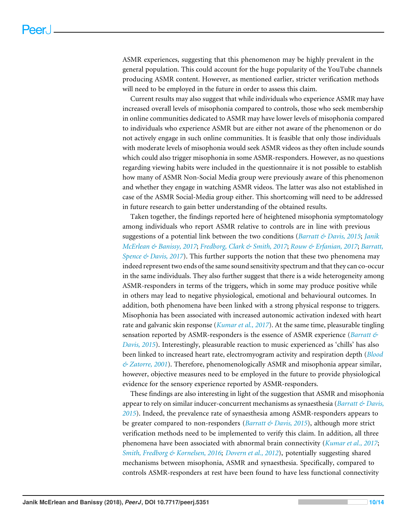ASMR experiences, suggesting that this phenomenon may be highly prevalent in the general population. This could account for the huge popularity of the YouTube channels producing ASMR content. However, as mentioned earlier, stricter verification methods will need to be employed in the future in order to assess this claim.

Current results may also suggest that while individuals who experience ASMR may have increased overall levels of misophonia compared to controls, those who seek membership in online communities dedicated to ASMR may have lower levels of misophonia compared to individuals who experience ASMR but are either not aware of the phenomenon or do not actively engage in such online communities. It is feasible that only those individuals with moderate levels of misophonia would seek ASMR videos as they often include sounds which could also trigger misophonia in some ASMR-responders. However, as no questions regarding viewing habits were included in the questionnaire it is not possible to establish how many of ASMR Non-Social Media group were previously aware of this phenomenon and whether they engage in watching ASMR videos. The latter was also not established in case of the ASMR Social-Media group either. This shortcoming will need to be addressed in future research to gain better understanding of the obtained results.

Taken together, the findings reported here of heightened misophonia symptomatology among individuals who report ASMR relative to controls are in line with previous suggestions of a potential link between the two conditions (*[Barratt & Davis, 2015](#page-11-2)*; *[Janik](#page-12-5) [McErlean & Banissy, 2017](#page-12-5)*; *[Fredborg, Clark & Smith, 2017](#page-12-6)*; *[Rouw & Erfanian, 2017](#page-13-4)*; *[Barratt,](#page-11-1) Spence*  $\&$  *Davis, 2017*). This further supports the notion that these two phenomena may indeed represent two ends of the same sound sensitivity spectrum and that they can co-occur in the same individuals. They also further suggest that there is a wide heterogeneity among ASMR-responders in terms of the triggers, which in some may produce positive while in others may lead to negative physiological, emotional and behavioural outcomes. In addition, both phenomena have been linked with a strong physical response to triggers. Misophonia has been associated with increased autonomic activation indexed with heart rate and galvanic skin response (*[Kumar et al., 2017](#page-12-2)*). At the same time, pleasurable tingling sensation reported by ASMR-responders is the essence of ASMR experience (*[Barratt &](#page-11-2) [Davis, 2015](#page-11-2)*). Interestingly, pleasurable reaction to music experienced as 'chills' has also been linked to increased heart rate, electromyogram activity and respiration depth (*[Blood](#page-11-3) [& Zatorre, 2001](#page-11-3)*). Therefore, phenomenologically ASMR and misophonia appear similar, however, objective measures need to be employed in the future to provide physiological evidence for the sensory experience reported by ASMR-responders.

These findings are also interesting in light of the suggestion that ASMR and misophonia appear to rely on similar inducer-concurrent mechanisms as synaesthesia (*[Barratt & Davis,](#page-11-2) [2015](#page-11-2)*). Indeed, the prevalence rate of synaesthesia among ASMR-responders appears to be greater compared to non-responders (*[Barratt & Davis, 2015](#page-11-2)*), although more strict verification methods need to be implemented to verify this claim. In addition, all three phenomena have been associated with abnormal brain connectivity (*[Kumar et al., 2017](#page-12-2)*; *[Smith, Fredborg & Kornelsen, 2016](#page-13-5)*; *[Dovern et al., 2012](#page-12-8)*), potentially suggesting shared mechanisms between misophonia, ASMR and synaesthesia. Specifically, compared to controls ASMR-responders at rest have been found to have less functional connectivity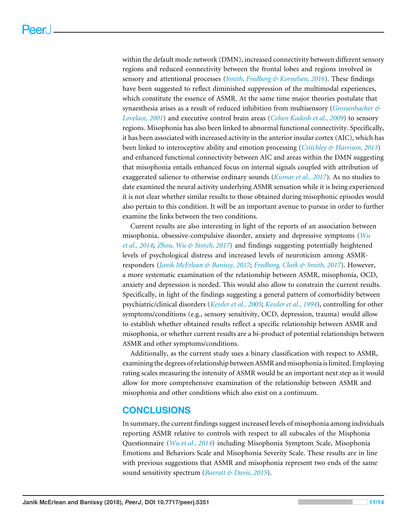within the default mode network (DMN), increased connectivity between different sensory regions and reduced connectivity between the frontal lobes and regions involved in sensory and attentional processes (*[Smith, Fredborg & Kornelsen, 2016](#page-13-5)*). These findings have been suggested to reflect diminished suppression of the multimodal experiences, which constitute the essence of ASMR. At the same time major theories postulate that synaesthesia arises as a result of reduced inhibition from multisensory (*[Grossenbacher &](#page-12-9) [Lovelace, 2001](#page-12-9)*) and executive control brain areas (*[Cohen Kadosh et al., 2009](#page-12-10)*) to sensory regions. Misophonia has also been linked to abnormal functional connectivity. Specifically, it has been associated with increased activity in the anterior insular cortex (AIC), which has been linked to interoceptive ability and emotion processing (*[Critchley & Harrison, 2013](#page-12-11)*) and enhanced functional connectivity between AIC and areas within the DMN suggesting that misophonia entails enhanced focus on internal signals coupled with attribution of exaggerated salience to otherwise ordinary sounds (*[Kumar et al., 2017](#page-12-2)*). As no studies to date examined the neural activity underlying ASMR sensation while it is being experienced it is not clear whether similar results to those obtained during misophonic episodes would also pertain to this condition. It will be an important avenue to pursue in order to further examine the links between the two conditions.

Current results are also interesting in light of the reports of an association between misophonia, obsessive-compulsive disorder, anxiety and depressive symptoms (*[Wu](#page-13-2) [et al., 2014](#page-13-2)*; *[Zhou, Wu & Storch, 2017](#page-13-3)*) and findings suggesting potentially heightened levels of psychological distress and increased levels of neuroticism among ASMRresponders (*[Janik McErlean & Banissy, 2017](#page-12-5)*; *[Fredborg, Clark & Smith, 2017](#page-12-6)*). However, a more systematic examination of the relationship between ASMR, misophonia, OCD, anxiety and depression is needed. This would also allow to constrain the current results. Specifically, in light of the findings suggesting a general pattern of comorbidity between psychiatric/clinical disorders (*[Kessler et al., 2005](#page-12-12)*; *[Kessler et al., 1994](#page-12-13)*), controlling for other symptoms/conditions (e.g., sensory sensitivity, OCD, depression, trauma) would allow to establish whether obtained results reflect a specific relationship between ASMR and misophonia, or whether current results are a bi-product of potential relationships between ASMR and other symptoms/conditions.

Additionally, as the current study uses a binary classification with respect to ASMR, examining the degrees of relationship between ASMR and misophonia is limited. Employing rating scales measuring the intensity of ASMR would be an important next step as it would allow for more comprehensive examination of the relationship between ASMR and misophonia and other conditions which also exist on a continuum.

# **CONCLUSIONS**

In summary, the current findings suggest increased levels of misophonia among individuals reporting ASMR relative to controls with respect to all subscales of the Misphonia Questionnaire (*[Wu et al., 2014](#page-13-2)*) including Misophonia Symptom Scale, Misophonia Emotions and Behaviors Scale and Misophonia Severity Scale. These results are in line with previous suggestions that ASMR and misophonia represent two ends of the same sound sensitivity spectrum (*[Barratt & Davis, 2015](#page-11-2)*).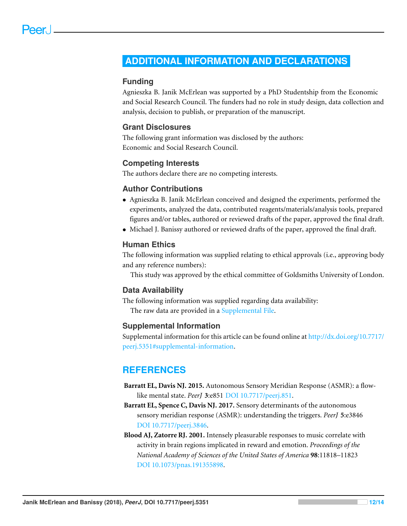# <span id="page-11-0"></span>**ADDITIONAL INFORMATION AND DECLARATIONS**

## **Funding**

Agnieszka B. Janik McErlean was supported by a PhD Studentship from the Economic and Social Research Council. The funders had no role in study design, data collection and analysis, decision to publish, or preparation of the manuscript.

#### **Grant Disclosures**

The following grant information was disclosed by the authors: Economic and Social Research Council.

#### **Competing Interests**

The authors declare there are no competing interests.

#### **Author Contributions**

- [Agnieszka B. Janik McErlean](#page-0-2) conceived and designed the experiments, performed the experiments, analyzed the data, contributed reagents/materials/analysis tools, prepared figures and/or tables, authored or reviewed drafts of the paper, approved the final draft.
- [Michael J. Banissy](#page-0-3) authored or reviewed drafts of the paper, approved the final draft.

# **Human Ethics**

The following information was supplied relating to ethical approvals (i.e., approving body and any reference numbers):

This study was approved by the ethical committee of Goldsmiths University of London.

#### **Data Availability**

The following information was supplied regarding data availability: The raw data are provided in a [Supplemental File.](http://dx.doi.org/10.7717/peerj.5351#supplemental-information)

#### **Supplemental Information**

Supplemental information for this article can be found online at [http://dx.doi.org/10.7717/](http://dx.doi.org/10.7717/peerj.5351#supplemental-information) [peerj.5351#supplemental-information.](http://dx.doi.org/10.7717/peerj.5351#supplemental-information)

# **REFERENCES**

- <span id="page-11-2"></span>**Barratt EL, Davis NJ. 2015.** Autonomous Sensory Meridian Response (ASMR): a flowlike mental state. *PeerJ* **3**:e851 [DOI 10.7717/peerj.851.](http://dx.doi.org/10.7717/peerj.851)
- <span id="page-11-1"></span>**Barratt EL, Spence C, Davis NJ. 2017.** Sensory determinants of the autonomous sensory meridian response (ASMR): understanding the triggers. *PeerJ* **5**:e3846 [DOI 10.7717/peerj.3846.](http://dx.doi.org/10.7717/peerj.3846)
- <span id="page-11-3"></span>**Blood AJ, Zatorre RJ. 2001.** Intensely pleasurable responses to music correlate with activity in brain regions implicated in reward and emotion. *Proceedings of the National Academy of Sciences of the United States of America* **98**:11818–11823 [DOI 10.1073/pnas.191355898.](http://dx.doi.org/10.1073/pnas.191355898)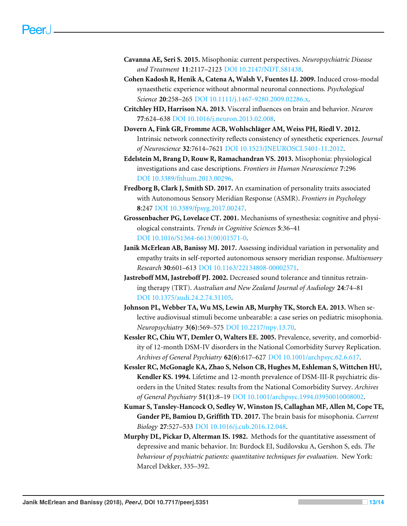- <span id="page-12-3"></span>**Cavanna AE, Seri S. 2015.** Misophonia: current perspectives. *Neuropsychiatric Disease and Treatment* **11**:2117–2123 [DOI 10.2147/NDT.S81438.](http://dx.doi.org/10.2147/NDT.S81438)
- <span id="page-12-10"></span>**Cohen Kadosh R, Henik A, Catena A, Walsh V, Fuentes LJ. 2009.** Induced cross-modal synaesthetic experience without abnormal neuronal connections. *Psychological Science* **20**:258–265 [DOI 10.1111/j.1467-9280.2009.02286.x.](http://dx.doi.org/10.1111/j.1467-9280.2009.02286.x)
- <span id="page-12-11"></span>**Critchley HD, Harrison NA. 2013.** Visceral influences on brain and behavior. *Neuron* **77**:624–638 [DOI 10.1016/j.neuron.2013.02.008.](http://dx.doi.org/10.1016/j.neuron.2013.02.008)
- <span id="page-12-8"></span>**Dovern A, Fink GR, Fromme ACB, Wohlschläger AM, Weiss PH, Riedl V. 2012.** Intrinsic network connectivity reflects consistency of synesthetic experiences. *Journal of Neuroscience* **32**:7614–7621 [DOI 10.1523/JNEUROSCI.5401-11.2012.](http://dx.doi.org/10.1523/JNEUROSCI.5401-11.2012)
- <span id="page-12-4"></span>**Edelstein M, Brang D, Rouw R, Ramachandran VS. 2013.** Misophonia: physiological investigations and case descriptions. *Frontiers in Human Neuroscience* **7**:296 [DOI 10.3389/fnhum.2013.00296.](http://dx.doi.org/10.3389/fnhum.2013.00296)
- <span id="page-12-6"></span>**Fredborg B, Clark J, Smith SD. 2017.** An examination of personality traits associated with Autonomous Sensory Meridian Response (ASMR). *Frontiers in Psychology* **8**:247 [DOI 10.3389/fpsyg.2017.00247.](http://dx.doi.org/10.3389/fpsyg.2017.00247)
- <span id="page-12-9"></span>**Grossenbacher PG, Lovelace CT. 2001.** Mechanisms of synesthesia: cognitive and physiological constraints. *Trends in Cognitive Sciences* **5**:36–41 [DOI 10.1016/S1364-6613\(00\)01571-0.](http://dx.doi.org/10.1016/S1364-6613(00)01571-0)
- <span id="page-12-5"></span>**Janik McErlean AB, Banissy MJ. 2017.** Assessing individual variation in personality and empathy traits in self-reported autonomous sensory meridian response. *Multisensory Research* **30**:601–613 [DOI 10.1163/22134808-00002571.](http://dx.doi.org/10.1163/22134808-00002571)
- <span id="page-12-0"></span>**Jastreboff MM, Jastreboff PJ. 2002.** Decreased sound tolerance and tinnitus retraining therapy (TRT). *Australian and New Zealand Journal of Audiology* **24**:74–81 [DOI 10.1375/audi.24.2.74.31105.](http://dx.doi.org/10.1375/audi.24.2.74.31105)
- <span id="page-12-1"></span>**Johnson PL, Webber TA, Wu MS, Lewin AB, Murphy TK, Storch EA. 2013.** When selective audiovisual stimuli become unbearable: a case series on pediatric misophonia. *Neuropsychiatry* **3(6)**:569–575 [DOI 10.2217/npy.13.70.](http://dx.doi.org/10.2217/npy.13.70)
- <span id="page-12-12"></span>**Kessler RC, Chiu WT, Demler O, Walters EE. 2005.** Prevalence, severity, and comorbidity of 12-month DSM-IV disorders in the National Comorbidity Survey Replication. *Archives of General Psychiatry* **62(6)**:617–627 [DOI 10.1001/archpsyc.62.6.617.](http://dx.doi.org/10.1001/archpsyc.62.6.617)
- <span id="page-12-13"></span>**Kessler RC, McGonagle KA, Zhao S, Nelson CB, Hughes M, Eshleman S, Wittchen HU, Kendler KS. 1994.** Lifetime and 12-month prevalence of DSM-III-R psychiatric disorders in the United States: results from the National Comorbidity Survey. *Archives of General Psychiatry* **51(1)**:8–19 [DOI 10.1001/archpsyc.1994.03950010008002.](http://dx.doi.org/10.1001/archpsyc.1994.03950010008002)
- <span id="page-12-2"></span>**Kumar S, Tansley-Hancock O, Sedley W, Winston JS, Callaghan MF, Allen M, Cope TE, Gander PE, Bamiou D, Griffith TD. 2017.** The brain basis for misophonia. *Current Biology* **27**:527–533 [DOI 10.1016/j.cub.2016.12.048.](http://dx.doi.org/10.1016/j.cub.2016.12.048)
- <span id="page-12-7"></span>**Murphy DL, Pickar D, Alterman IS. 1982.** Methods for the quantitative assessment of depressive and manic behavior. In: Burdock EI, Sudilovsku A, Gershon S, eds. *The behaviour of psychiatric patients: quantitative techniques for evaluation*. New York: Marcel Dekker, 335–392.